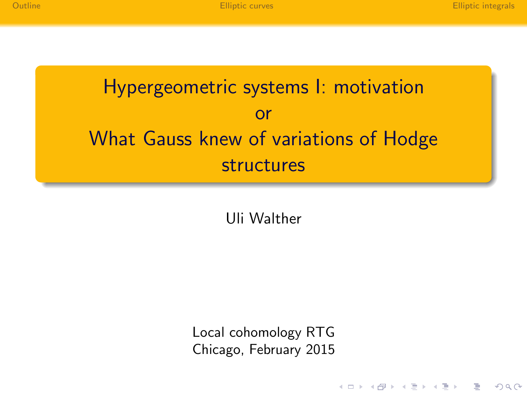$\mathbf{E} = \mathbf{A} \oplus \mathbf{B} + \mathbf{A} \oplus \mathbf{B} + \mathbf{A} \oplus \mathbf{B} + \mathbf{A} \oplus \mathbf{B} + \mathbf{A} \oplus \mathbf{B} + \mathbf{A} \oplus \mathbf{B} + \mathbf{A} \oplus \mathbf{B} + \mathbf{A} \oplus \mathbf{B} + \mathbf{A} \oplus \mathbf{B} + \mathbf{A} \oplus \mathbf{B} + \mathbf{A} \oplus \mathbf{B} + \mathbf{A} \oplus \mathbf{B} + \mathbf{A} \oplus \mathbf{B} + \mathbf{A$ 

 $QQQ$ 

# Hypergeometric systems I: motivation or What Gauss knew of variations of Hodge structures

Uli Walther

Local cohomology RTG Chicago, February 2015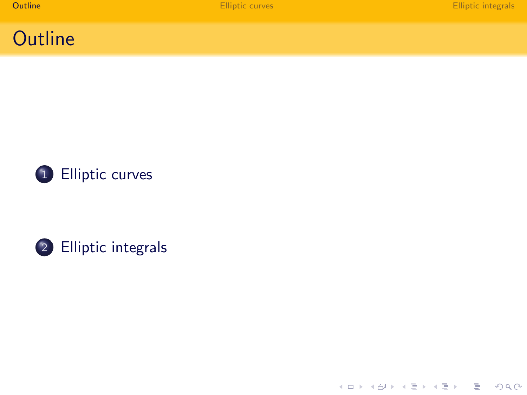





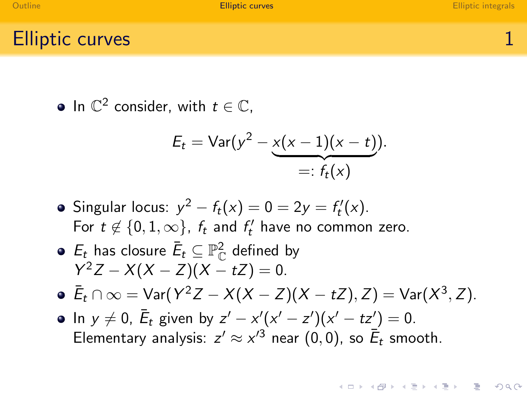**KORK ERRY ABRICAN BIRD AGA** 

#### Elliptic curves **1**

In  $\mathbb{C}^2$  consider, with  $t \in \mathbb{C}$ ,

$$
E_t = \text{Var}(y^2 - \underbrace{x(x-1)(x-t)}_{=: f_t(x)}).
$$

- Singular locus:  $y^2 f_t(x) = 0 = 2y = f'_t(x)$ . For  $t \notin \{0, 1, \infty\}$ ,  $f_t$  and  $f'_t$  have no common zero.
- $\mathcal{E}_t$  has closure  $\bar{\mathcal{E}}_t \subseteq \mathbb{P}^2_\mathbb{C}$  defined by  $Y^2Z - X(X - Z)(X - tZ) = 0.$
- $\bar{E}_t \cap \infty = \text{Var}(Y^2 Z X(X Z)(X tZ), Z) = \text{Var}(X^3, Z).$
- In  $y \neq 0$ ,  $\bar{E}_t$  given by  $z' x'(x' z')(x' tz') = 0$ . Elementary analysis:  $z' \approx x'^3$  near  $(0,0)$ , so  $\overline{E}_t$  smooth.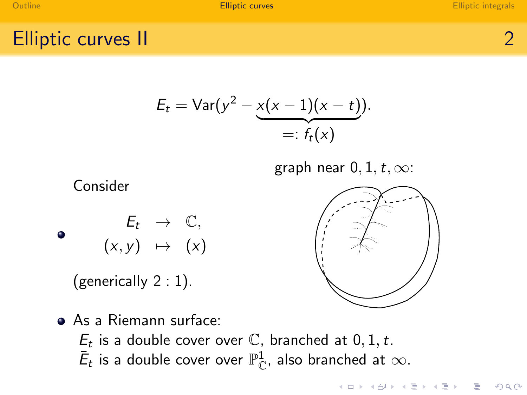Elliptic curves II 2

$$
E_t = \text{Var}(y^2 - \underbrace{x(x-1)(x-t)}_{=: f_t(x)}).
$$

graph near  $0, 1, t, \infty$ :



(generically 2 : 1).



**KOD KAD KED KED E VAN** 

<span id="page-3-0"></span>As a Riemann surface:  $E_t$  is a double cover over  $\mathbb C$ , branched at  $0, 1, t$ .  $\bar{\mathsf{E}}_t$  is a double cover over  $\mathbb{P}^1_\mathbb{C}$ , also branched at  $\infty.$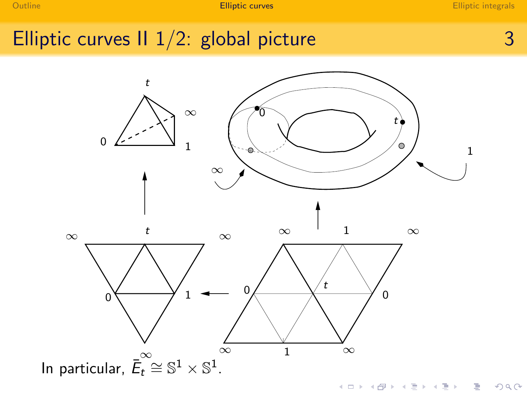## Elliptic curves II  $1/2$ : global picture  $3$

<span id="page-4-0"></span>

 $2Q$ **K ロト K 御 ト K 君 ト** Þ ŧ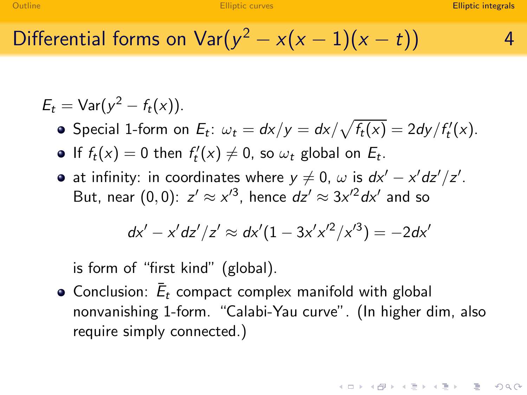Differential forms on  $\text{Var}(y^2 - x(x-1)(x-t))$  4

$$
E_t = \text{Var}(y^2 - f_t(x)).
$$

Special 1-form on  $E_t$ :  $\omega_t = dx/y = dx/\sqrt{f_t(x)} = 2dy/f'_t(x)$ .

- If  $f_t(x) = 0$  then  $f'_t(x) \neq 0$ , so  $\omega_t$  global on  $E_t$ .
- at infinity: in coordinates where  $y \neq 0$ ,  $\omega$  is  $dx'-x'dz'/z'$ . But, near  $(0,0)$ :  $z' \approx x'^3$ , hence  $dz' \approx 3x'^2 dx'$  and so

$$
dx' - x'dz'/z' \approx dx'(1 - 3x'x'^2/x'^3) = -2dx'
$$

is form of "first kind" (global).

<span id="page-5-0"></span>Conclusion:  $\bar{E}_t$  compact complex manifold with global nonvanishing 1-form. "Calabi-Yau curve". (In higher dim, also require simply connected.)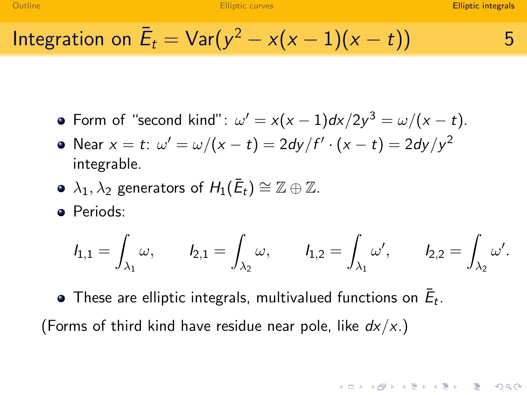Integration on 
$$
\bar{E}_t = \text{Var}(y^2 - x(x-1)(x-t))
$$
 5

- Form of "second kind":  $\omega' = x(x-1)dx/2y^3 = \omega/(x-t)$ .
- Near  $x=t$ :  $\omega'=\omega/(x-t)=2dy/f'\cdot(x-t)=2dy/y^2$ integrable.
- $\lambda_1, \lambda_2$  generators of  $H_1(\bar{E}_t) \cong \mathbb{Z} \oplus \mathbb{Z}.$
- Periods:

$$
I_{1,1}=\int_{\lambda_1}\omega,\qquad I_{2,1}=\int_{\lambda_2}\omega,\qquad I_{1,2}=\int_{\lambda_1}\omega',\qquad I_{2,2}=\int_{\lambda_2}\omega'.
$$

These are elliptic integrals, multivalued functions on  $\bar{E}_t.$ (Forms of third kind have residue near pole, like  $dx/x$ .)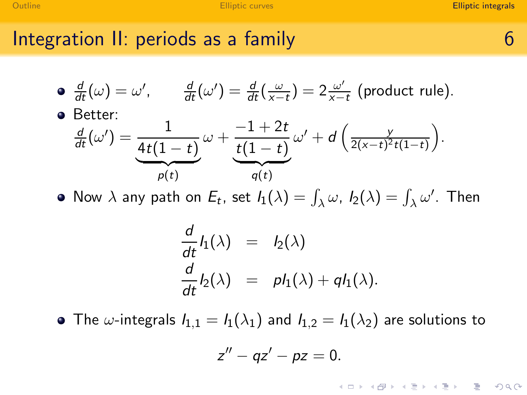#### Integration II: periods as a family **6** and  $\overline{6}$

• 
$$
\frac{d}{dt}(\omega) = \omega'
$$
,  $\frac{d}{dt}(\omega') = \frac{d}{dt}(\frac{\omega}{x-t}) = 2\frac{\omega'}{x-t}$  (product rule).

Better:

$$
\frac{\frac{d}{dt}(\omega')}{\frac{4t(1-t)}{\rho(t)}}\omega + \frac{-1+2t}{\frac{t(1-t)}{\rho(t)}}\omega' + d\left(\frac{y}{2(x-t)^2t(1-t)}\right).
$$

Now  $\lambda$  any path on  $E_t$ , set  $I_1(\lambda) = \int_{\lambda} \omega$ ,  $I_2(\lambda) = \int_{\lambda} \omega'$ . Then

$$
\frac{d}{dt}l_1(\lambda) = l_2(\lambda)
$$
  

$$
\frac{d}{dt}l_2(\lambda) = p l_1(\lambda) + q l_1(\lambda).
$$

• The  $\omega$ -integrals  $I_{1,1} = I_1(\lambda_1)$  and  $I_{1,2} = I_1(\lambda_2)$  are solutions to

$$
z''-qz'-pz=0.
$$

K ロ ▶ K 레 ▶ K 코 ▶ K 코 ▶ 『 코 │ ◆ 9 Q (\*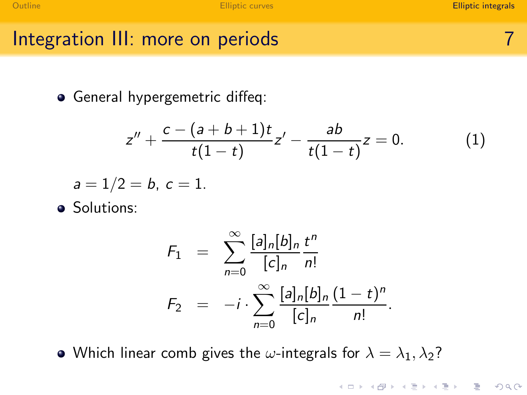K ロ ▶ K 레 ▶ K 코 ▶ K 코 ▶ 『 코 │ ◆ 9 Q (\*

Integration III: more on periods

General hypergemetric diffeq:

<span id="page-8-0"></span>
$$
z'' + \frac{c - (a+b+1)t}{t(1-t)}z' - \frac{ab}{t(1-t)}z = 0.
$$
 (1)

$$
a=1/2=b, c=1.
$$

• Solutions:

$$
F_1 = \sum_{n=0}^{\infty} \frac{[a]_n [b]_n}{[c]_n} \frac{t^n}{n!}
$$
  

$$
F_2 = -i \cdot \sum_{n=0}^{\infty} \frac{[a]_n [b]_n}{[c]_n} \frac{(1-t)^n}{n!}.
$$

• Which linear comb gives the  $\omega$ -integrals for  $\lambda = \lambda_1, \lambda_2$ ?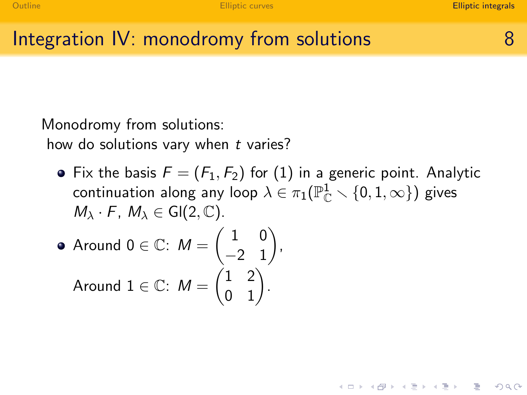## Integration IV: monodromy from solutions and the state of 8

Monodromy from solutions:

how do solutions vary when  $t$  varies?

• Fix the basis  $F = (F_1, F_2)$  for [\(1\)](#page-8-0) in a generic point. Analytic continuation along any loop  $\lambda \in \pi_1(\mathbb{P}_\mathbb{C}^1\smallsetminus\{0,1,\infty\})$  gives  $M_{\lambda} \cdot F$ ,  $M_{\lambda} \in Gl(2, \mathbb{C})$ .

$$
\begin{aligned}\n\bullet \text{ Around } 0 \in \mathbb{C}: \ M &= \begin{pmatrix} 1 & 0 \\ -2 & 1 \end{pmatrix}, \\
\text{Around } 1 \in \mathbb{C}: \ M &= \begin{pmatrix} 1 & 2 \\ 0 & 1 \end{pmatrix}.\n\end{aligned}
$$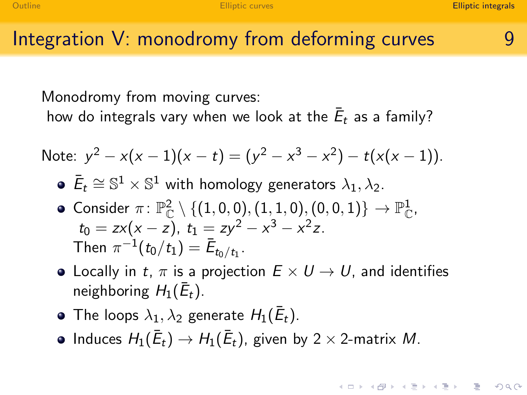#### Integration  $V$ : monodromy from deforming curves  $\qquad \qquad$  9

Monodromy from moving curves:

how do integrals vary when we look at the  $\bar{E}_t$  as a family?

Note: 
$$
y^2 - x(x-1)(x-t) = (y^2 - x^3 - x^2) - t(x(x-1))
$$
.

- $\bar{E}_t \cong \mathbb{S}^1 \times \mathbb{S}^1$  with homology generators  $\lambda_1, \lambda_2$ .
- Consider  $\pi \colon \mathbb{P}^2_\mathbb{C} \setminus \{ (1,0,0), (1,1,0), (0,0,1) \} \to \mathbb{P}^1_\mathbb{C}$ ,  $t_0 = zx(x - z)$ ,  $t_1 = zy^2 - x^3 - x^2z$ . Then  $\pi^{-1}(t_0/t_1) = \bar{E}_{t_0/t_1}$ .
- Locally in t,  $\pi$  is a projection  $E \times U \rightarrow U$ , and identifies neighboring  $H_1(\bar{E}_t)$ .
- The loops  $\lambda_1, \lambda_2$  generate  $H_1(\bar{E}_t)$ .
- Induces  $H_1(\bar{E}_t) \to H_1(\bar{E}_t)$ , given by 2  $\times$  2-matrix  $M$ .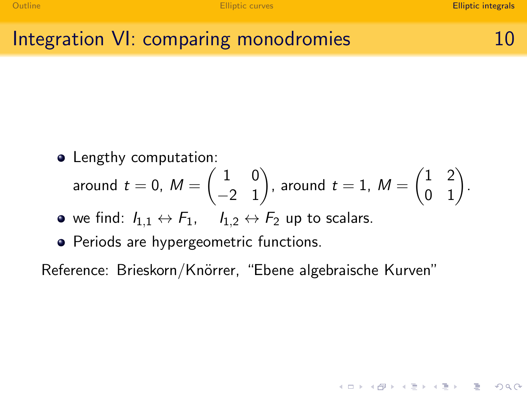K ロ ▶ K 레 ▶ K 코 ▶ K 코 ▶ 『 코 │ ◆ 9 Q (\*

## Integration VI: comparing monodromies 10

• Lengthy computation:

around 
$$
t = 0
$$
,  $M = \begin{pmatrix} 1 & 0 \\ -2 & 1 \end{pmatrix}$ , around  $t = 1$ ,  $M = \begin{pmatrix} 1 & 2 \\ 0 & 1 \end{pmatrix}$ .

- we find:  $I_{1,1} \leftrightarrow F_1$ ,  $I_{1,2} \leftrightarrow F_2$  up to scalars.
- Periods are hypergeometric functions.

Reference: Brieskorn/Knörrer, "Ebene algebraische Kurven"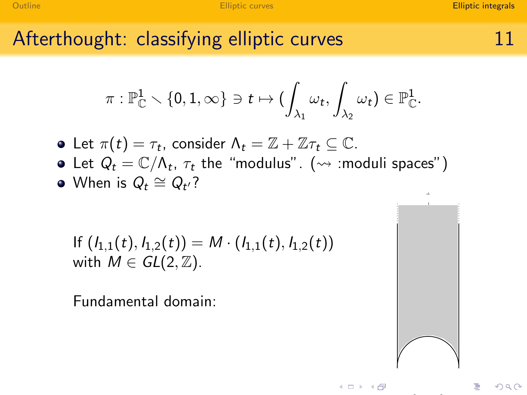## Afterthought: classifying elliptic curves 11

$$
\pi: \mathbb{P}^1_\mathbb{C}\smallsetminus \{0,1,\infty\}\ni t\mapsto (\int_{\lambda_1}\omega_t,\int_{\lambda_2}\omega_t)\in \mathbb{P}^1_\mathbb{C}.
$$

Let  $\pi(t) = \tau_t$ , consider  $\Lambda_t = \mathbb{Z} + \mathbb{Z}\tau_t \subseteq \mathbb{C}$ .

- Let  $Q_t = \mathbb{C}/\Lambda_t$ ,  $\tau_t$  the "modulus".  $(\rightsquigarrow$  :moduli spaces")
- When is  $Q_t \cong Q_{t'}$ ?

If 
$$
(I_{1,1}(t), I_{1,2}(t)) = M \cdot (I_{1,1}(t), I_{1,2}(t))
$$
  
with  $M \in GL(2, \mathbb{Z})$ .

Fundamental domain: